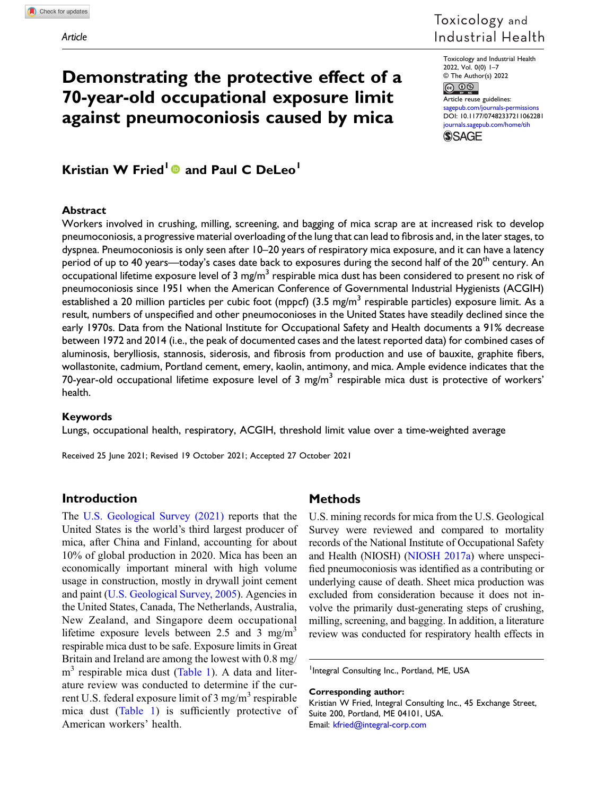# Toxicology and Industrial Health

Toxicology and Industrial Health 2022, Vol. 0(0) 1–7 © The Author(s) 2022

 $\circledcirc$   $\circledcirc$ Article reuse guidelines: [sagepub.com/journals-permissions](https://uk.sagepub.com/en-gb/journals-permissions) DOI: [10.1177/07482337211062281](https://doi.org/10.1177/07482337211062281) [journals.sagepub.com/home/tih](https://journals.sagepub.com/home/tih) **SSAGE** 

# Kristian W Fried<sup>1</sup> and Paul C DeLeo<sup>1</sup>

Demonstrating the protective effect of a

70-year-old occupational exposure limit against pneumoconiosis caused by mica

## Abstract

Workers involved in crushing, milling, screening, and bagging of mica scrap are at increased risk to develop pneumoconiosis, a progressive material overloading of the lung that can lead to fibrosis and, in the later stages, to dyspnea. Pneumoconiosis is only seen after 10–20 years of respiratory mica exposure, and it can have a latency period of up to 40 years—today's cases date back to exposures during the second half of the 20<sup>th</sup> century. An occupational lifetime exposure level of 3 mg/m<sup>3</sup> respirable mica dust has been considered to present no risk of pneumoconiosis since 1951 when the American Conference of Governmental Industrial Hygienists (ACGIH) established a 20 million particles per cubic foot (mppcf) (3.5 mg/m<sup>3</sup> respirable particles) exposure limit. As a result, numbers of unspecified and other pneumoconioses in the United States have steadily declined since the early 1970s. Data from the National Institute for Occupational Safety and Health documents a 91% decrease between 1972 and 2014 (i.e., the peak of documented cases and the latest reported data) for combined cases of aluminosis, berylliosis, stannosis, siderosis, and fibrosis from production and use of bauxite, graphite fibers, wollastonite, cadmium, Portland cement, emery, kaolin, antimony, and mica. Ample evidence indicates that the 70-year-old occupational lifetime exposure level of 3 mg/m<sup>3</sup> respirable mica dust is protective of workers' health.

#### Keywords

Lungs, occupational health, respiratory, ACGIH, threshold limit value over a time-weighted average

Received 25 June 2021; Revised 19 October 2021; Accepted 27 October 2021

# Introduction

The [U.S. Geological Survey \(2021\)](#page-6-0) reports that the United States is the world's third largest producer of mica, after China and Finland, accounting for about 10% of global production in 2020. Mica has been an economically important mineral with high volume usage in construction, mostly in drywall joint cement and paint ([U.S. Geological Survey, 2005](#page-6-1)). Agencies in the United States, Canada, The Netherlands, Australia, New Zealand, and Singapore deem occupational lifetime exposure levels between 2.5 and 3 mg/m<sup>3</sup> respirable mica dust to be safe. Exposure limits in Great Britain and Ireland are among the lowest with 0.8 mg/  $m<sup>3</sup>$  respirable mica dust ([Table 1\)](#page-1-0). A data and literature review was conducted to determine if the current U.S. federal exposure limit of  $3 \text{ mg/m}^3$  respirable mica dust ([Table 1](#page-1-0)) is sufficiently protective of American workers' health.

# **Methods**

U.S. mining records for mica from the U.S. Geological Survey were reviewed and compared to mortality records of the National Institute of Occupational Safety and Health (NIOSH) ([NIOSH 2017a\)](#page-6-2) where unspecified pneumoconiosis was identified as a contributing or underlying cause of death. Sheet mica production was excluded from consideration because it does not involve the primarily dust-generating steps of crushing, milling, screening, and bagging. In addition, a literature review was conducted for respiratory health effects in

<sup>1</sup>Integral Consulting Inc., Portland, ME, USA

#### Corresponding author:

Kristian W Fried, Integral Consulting Inc., 45 Exchange Street, Suite 200, Portland, ME 04101, USA. Email: [kfried@integral-corp.com](mailto:kfried@integral-corp.com)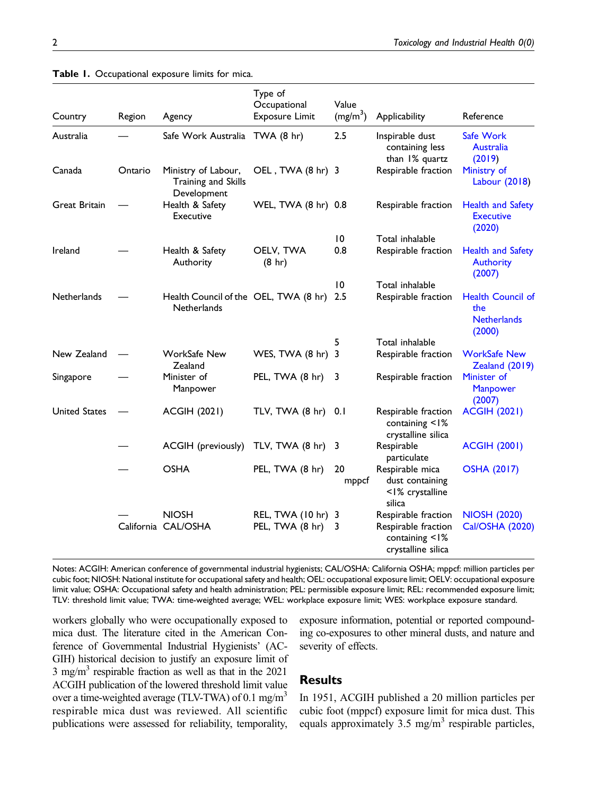| Country              | Region  | Agency                                                      | Type of<br>Occupational<br><b>Exposure Limit</b> | Value<br>(mg/m <sup>3</sup> ) | Applicability                                                   | Reference                                                       |
|----------------------|---------|-------------------------------------------------------------|--------------------------------------------------|-------------------------------|-----------------------------------------------------------------|-----------------------------------------------------------------|
| Australia            |         | Safe Work Australia TWA (8 hr)                              |                                                  | 2.5                           | Inspirable dust<br>containing less<br>than 1% quartz            | Safe Work<br>Australia<br>(2019)                                |
| Canada               | Ontario | Ministry of Labour,<br>Training and Skills<br>Development   | OEL, TWA (8 hr) 3                                |                               | Respirable fraction                                             | Ministry of<br>Labour (2018)                                    |
| <b>Great Britain</b> |         | Health & Safety<br>Executive                                | WEL, TWA (8 hr) 0.8                              |                               | Respirable fraction                                             | <b>Health and Safety</b><br><b>Executive</b><br>(2020)          |
|                      |         |                                                             |                                                  | 10                            | Total inhalable                                                 |                                                                 |
| Ireland              |         | Health & Safety<br>Authority                                | OELV, TWA<br>$(8 \ hr)$                          | 0.8                           | Respirable fraction                                             | <b>Health and Safety</b><br><b>Authority</b><br>(2007)          |
|                      |         |                                                             |                                                  | $\overline{0}$                | Total inhalable                                                 |                                                                 |
| <b>Netherlands</b>   |         | Health Council of the OEL, TWA (8 hr)<br><b>Netherlands</b> |                                                  | 2.5                           | Respirable fraction                                             | <b>Health Council of</b><br>the<br><b>Netherlands</b><br>(2000) |
|                      |         |                                                             |                                                  | 5                             | Total inhalable                                                 |                                                                 |
| New Zealand          |         | <b>WorkSafe New</b><br>Zealand                              | WES, TWA (8 hr)                                  | $\overline{3}$                | Respirable fraction                                             | <b>WorkSafe New</b><br>Zealand (2019)                           |
| Singapore            |         | Minister of<br>Manpower                                     | PEL, TWA (8 hr)                                  | 3                             | Respirable fraction                                             | Minister of<br>Manpower<br>(2007)                               |
| <b>United States</b> |         | <b>ACGIH (2021)</b>                                         | TLV, TWA (8 hr)                                  | 0.1                           | Respirable fraction<br>containing <1%<br>crystalline silica     | <b>ACGIH (2021)</b>                                             |
|                      |         | <b>ACGIH</b> (previously)                                   | TLV, TWA (8 hr)                                  | 3                             | Respirable<br>particulate                                       | <b>ACGIH (2001)</b>                                             |
|                      |         | <b>OSHA</b>                                                 | PEL, TWA (8 hr)                                  | 20<br>mppcf                   | Respirable mica<br>dust containing<br><1% crystalline<br>silica | <b>OSHA (2017)</b>                                              |
|                      |         | <b>NIOSH</b>                                                | REL, TWA (10 hr) 3                               |                               | Respirable fraction                                             | <b>NIOSH (2020)</b>                                             |
|                      |         | California CAL/OSHA                                         | PEL, TWA (8 hr)                                  | 3                             | Respirable fraction<br>containing <1%<br>crystalline silica     | <b>Cal/OSHA (2020)</b>                                          |

#### Table 1. Occupational exposure limits for mica.

<span id="page-1-0"></span>Notes: ACGIH: American conference of governmental industrial hygienists; CAL/OSHA: California OSHA; mppcf: million particles per cubic foot; NIOSH: National institute for occupational safety and health; OEL: occupational exposure limit; OELV: occupational exposure limit value; OSHA: Occupational safety and health administration; PEL: permissible exposure limit; REL: recommended exposure limit; TLV: threshold limit value; TWA: time-weighted average; WEL: workplace exposure limit; WES: workplace exposure standard.

workers globally who were occupationally exposed to mica dust. The literature cited in the American Conference of Governmental Industrial Hygienists' (AC-GIH) historical decision to justify an exposure limit of 3 mg/m<sup>3</sup> respirable fraction as well as that in the  $2021$ ACGIH publication of the lowered threshold limit value over a time-weighted average (TLV-TWA) of 0.1 mg/m<sup>3</sup> respirable mica dust was reviewed. All scientific publications were assessed for reliability, temporality, exposure information, potential or reported compounding co-exposures to other mineral dusts, and nature and severity of effects.

# **Results**

In 1951, ACGIH published a 20 million particles per cubic foot (mppcf) exposure limit for mica dust. This equals approximately  $3.5 \text{ mg/m}^3$  respirable particles,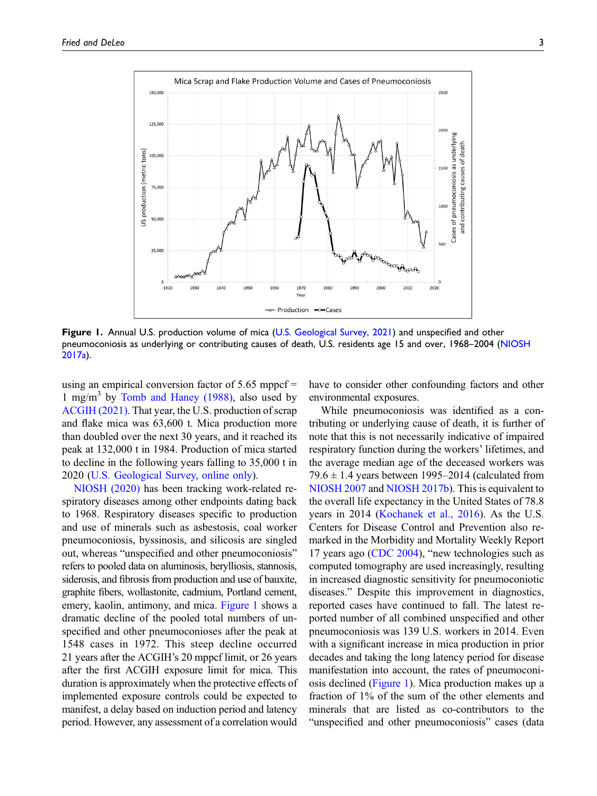

<span id="page-2-0"></span>Figure 1. Annual U.S. production volume of mica ([U.S. Geological Survey, 2021\)](#page-6-0) and unspecified and other pneumoconiosis as underlying or contributing causes of death, U.S. residents age 15 and over, 1968–2004 [\(NIOSH](#page-6-2) [2017a\)](#page-6-2).

using an empirical conversion factor of 5.65 mppcf = 1 mg/m<sup>3</sup> by [Tomb and Haney \(1988\)](#page-6-9), also used by [ACGIH \(2021\)](#page-5-3). That year, the U.S. production of scrap and flake mica was 63,600 t. Mica production more than doubled over the next 30 years, and it reached its peak at 132,000 t in 1984. Production of mica started to decline in the following years falling to 35,000 t in 2020 ([U.S. Geological Survey, online only\)](#page-6-10).

[NIOSH \(2020\)](#page-6-8) has been tracking work-related respiratory diseases among other endpoints dating back to 1968. Respiratory diseases specific to production and use of minerals such as asbestosis, coal worker pneumoconiosis, byssinosis, and silicosis are singled out, whereas "unspecified and other pneumoconiosis" refers to pooled data on aluminosis, berylliosis, stannosis, siderosis, and fibrosis from production and use of bauxite, graphite fibers, wollastonite, cadmium, Portland cement, emery, kaolin, antimony, and mica. [Figure 1](#page-2-0) shows a dramatic decline of the pooled total numbers of unspecified and other pneumoconioses after the peak at 1548 cases in 1972. This steep decline occurred 21 years after the ACGIH's 20 mppcf limit, or 26 years after the first ACGIH exposure limit for mica. This duration is approximately when the protective effects of implemented exposure controls could be expected to manifest, a delay based on induction period and latency period. However, any assessment of a correlation would

have to consider other confounding factors and other environmental exposures.

While pneumoconiosis was identified as a contributing or underlying cause of death, it is further of note that this is not necessarily indicative of impaired respiratory function during the workers' lifetimes, and the average median age of the deceased workers was 79.6  $\pm$  1.4 years between 1995–2014 (calculated from [NIOSH 2007](#page-6-11) and [NIOSH 2017b](#page-6-12)). This is equivalent to the overall life expectancy in the United States of 78.8 years in 2014 [\(Kochanek et al., 2016\)](#page-5-6). As the U.S. Centers for Disease Control and Prevention also remarked in the Morbidity and Mortality Weekly Report 17 years ago [\(CDC 2004\)](#page-5-7), "new technologies such as computed tomography are used increasingly, resulting in increased diagnostic sensitivity for pneumoconiotic diseases." Despite this improvement in diagnostics, reported cases have continued to fall. The latest reported number of all combined unspecified and other pneumoconiosis was 139 U.S. workers in 2014. Even with a significant increase in mica production in prior decades and taking the long latency period for disease manifestation into account, the rates of pneumoconiosis declined ([Figure 1](#page-2-0)). Mica production makes up a fraction of 1% of the sum of the other elements and minerals that are listed as co-contributors to the "unspecified and other pneumoconiosis" cases (data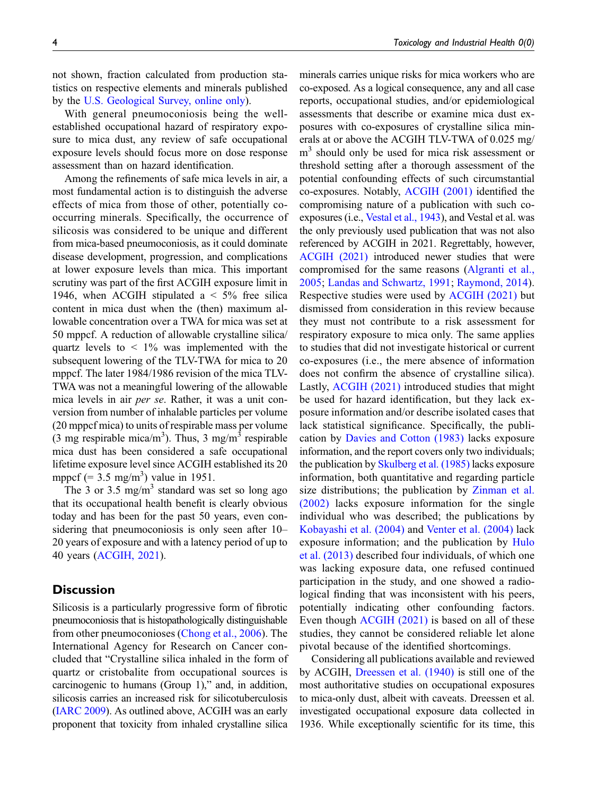not shown, fraction calculated from production statistics on respective elements and minerals published by the [U.S. Geological Survey, online only\)](#page-6-10).

With general pneumoconiosis being the wellestablished occupational hazard of respiratory exposure to mica dust, any review of safe occupational exposure levels should focus more on dose response assessment than on hazard identification.

Among the refinements of safe mica levels in air, a most fundamental action is to distinguish the adverse effects of mica from those of other, potentially cooccurring minerals. Specifically, the occurrence of silicosis was considered to be unique and different from mica-based pneumoconiosis, as it could dominate disease development, progression, and complications at lower exposure levels than mica. This important scrutiny was part of the first ACGIH exposure limit in 1946, when ACGIH stipulated a  $\lt$  5% free silica content in mica dust when the (then) maximum allowable concentration over a TWA for mica was set at 50 mppcf. A reduction of allowable crystalline silica/ quartz levels to  $\lt$  1% was implemented with the subsequent lowering of the TLV-TWA for mica to 20 mppcf. The later 1984/1986 revision of the mica TLV-TWA was not a meaningful lowering of the allowable mica levels in air per se. Rather, it was a unit conversion from number of inhalable particles per volume (20 mppcf mica) to units of respirable mass per volume (3 mg respirable mica/m<sup>3</sup>). Thus, 3 mg/m<sup>3</sup> respirable mica dust has been considered a safe occupational lifetime exposure level since ACGIH established its 20 mppcf  $(=\hat{3}.5 \text{ mg/m}^3)$  value in 1951.

The 3 or 3.5 mg/m<sup>3</sup> standard was set so long ago that its occupational health benefit is clearly obvious today and has been for the past 50 years, even considering that pneumoconiosis is only seen after 10– 20 years of exposure and with a latency period of up to 40 years ([ACGIH, 2021\)](#page-5-3).

# **Discussion**

Silicosis is a particularly progressive form of fibrotic pneumoconiosis that is histopathologically distinguishable from other pneumoconioses ([Chong et al., 2006](#page-5-8)). The International Agency for Research on Cancer concluded that "Crystalline silica inhaled in the form of quartz or cristobalite from occupational sources is carcinogenic to humans (Group 1)," and, in addition, silicosis carries an increased risk for silicotuberculosis ([IARC 2009\)](#page-5-9). As outlined above, ACGIH was an early proponent that toxicity from inhaled crystalline silica minerals carries unique risks for mica workers who are co-exposed. As a logical consequence, any and all case reports, occupational studies, and/or epidemiological assessments that describe or examine mica dust exposures with co-exposures of crystalline silica minerals at or above the ACGIH TLV-TWA of 0.025 mg/ m<sup>3</sup> should only be used for mica risk assessment or threshold setting after a thorough assessment of the potential confounding effects of such circumstantial co-exposures. Notably, [ACGIH \(2001\)](#page-5-4) identified the compromising nature of a publication with such coexposures (i.e., [Vestal et al., 1943\)](#page-6-13), and Vestal et al. was the only previously used publication that was not also referenced by ACGIH in 2021. Regrettably, however, [ACGIH \(2021\)](#page-5-3) introduced newer studies that were compromised for the same reasons ([Algranti et al.,](#page-5-10) [2005](#page-5-10); [Landas and Schwartz, 1991](#page-6-14); [Raymond, 2014](#page-6-15)). Respective studies were used by [ACGIH \(2021\)](#page-5-3) but dismissed from consideration in this review because they must not contribute to a risk assessment for respiratory exposure to mica only. The same applies to studies that did not investigate historical or current co-exposures (i.e., the mere absence of information does not confirm the absence of crystalline silica). Lastly, [ACGIH \(2021\)](#page-5-3) introduced studies that might be used for hazard identification, but they lack exposure information and/or describe isolated cases that lack statistical significance. Specifically, the publication by [Davies and Cotton \(1983\)](#page-5-11) lacks exposure information, and the report covers only two individuals; the publication by [Skulberg et al. \(1985\)](#page-6-16) lacks exposure information, both quantitative and regarding particle size distributions; the publication by [Zinman et al.](#page-6-17) [\(2002\)](#page-6-17) lacks exposure information for the single

Considering all publications available and reviewed by ACGIH, [Dreessen et al. \(1940\)](#page-5-14) is still one of the most authoritative studies on occupational exposures to mica-only dust, albeit with caveats. Dreessen et al. investigated occupational exposure data collected in 1936. While exceptionally scientific for its time, this

individual who was described; the publications by [Kobayashi et al. \(2004\)](#page-5-12) and [Venter et al. \(2004\)](#page-6-18) lack exposure information; and the publication by [Hulo](#page-5-13) [et al. \(2013\)](#page-5-13) described four individuals, of which one was lacking exposure data, one refused continued participation in the study, and one showed a radiological finding that was inconsistent with his peers, potentially indicating other confounding factors. Even though [ACGIH \(2021\)](#page-5-3) is based on all of these studies, they cannot be considered reliable let alone pivotal because of the identified shortcomings.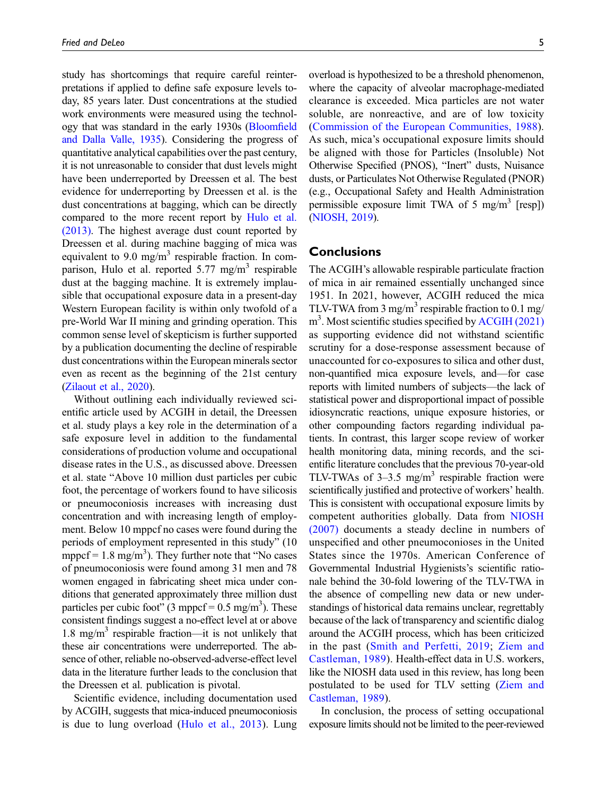study has shortcomings that require careful reinterpretations if applied to define safe exposure levels today, 85 years later. Dust concentrations at the studied work environments were measured using the technology that was standard in the early 1930s [\(Bloom](#page-5-15)field [and Dalla Valle, 1935\)](#page-5-15). Considering the progress of quantitative analytical capabilities over the past century, it is not unreasonable to consider that dust levels might have been underreported by Dreessen et al. The best evidence for underreporting by Dreessen et al. is the dust concentrations at bagging, which can be directly compared to the more recent report by [Hulo et al.](#page-5-13) [\(2013\).](#page-5-13) The highest average dust count reported by Dreessen et al. during machine bagging of mica was equivalent to 9.0 mg/m<sup>3</sup> respirable fraction. In comparison, Hulo et al. reported  $5.77 \text{ mg/m}^3$  respirable dust at the bagging machine. It is extremely implausible that occupational exposure data in a present-day Western European facility is within only twofold of a pre-World War II mining and grinding operation. This common sense level of skepticism is further supported by a publication documenting the decline of respirable dust concentrations within the European minerals sector even as recent as the beginning of the 21st century [\(Zilaout et al., 2020\)](#page-6-19).

Without outlining each individually reviewed scientific article used by ACGIH in detail, the Dreessen et al. study plays a key role in the determination of a safe exposure level in addition to the fundamental considerations of production volume and occupational disease rates in the U.S., as discussed above. Dreessen et al. state "Above 10 million dust particles per cubic foot, the percentage of workers found to have silicosis or pneumoconiosis increases with increasing dust concentration and with increasing length of employment. Below 10 mppcf no cases were found during the periods of employment represented in this study" (10 mppcf =  $1.8 \text{ mg/m}^3$ ). They further note that "No cases of pneumoconiosis were found among 31 men and 78 women engaged in fabricating sheet mica under conditions that generated approximately three million dust particles per cubic foot"  $(3 \text{ mppcf} = 0.5 \text{ mg/m}^3)$ . These consistent findings suggest a no-effect level at or above 1.8 mg/m<sup>3</sup> respirable fraction—it is not unlikely that these air concentrations were underreported. The absence of other, reliable no-observed-adverse-effect level data in the literature further leads to the conclusion that the Dreessen et al. publication is pivotal.

Scientific evidence, including documentation used by ACGIH, suggests that mica-induced pneumoconiosis is due to lung overload ([Hulo et al., 2013\)](#page-5-13). Lung overload is hypothesized to be a threshold phenomenon, where the capacity of alveolar macrophage-mediated clearance is exceeded. Mica particles are not water soluble, are nonreactive, and are of low toxicity ([Commission of the European Communities, 1988\)](#page-5-16). As such, mica's occupational exposure limits should be aligned with those for Particles (Insoluble) Not Otherwise Specified (PNOS), "Inert" dusts, Nuisance dusts, or Particulates Not Otherwise Regulated (PNOR) (e.g., Occupational Safety and Health Administration permissible exposure limit TWA of 5 mg/m<sup>3</sup> [resp]) ([NIOSH, 2019](#page-6-20)).

# **Conclusions**

The ACGIH's allowable respirable particulate fraction of mica in air remained essentially unchanged since 1951. In 2021, however, ACGIH reduced the mica TLV-TWA from 3 mg/m<sup>3</sup> respirable fraction to 0.1 mg/ m<sup>3</sup>. Most scientific studies specified by [ACGIH \(2021\)](#page-5-3) as supporting evidence did not withstand scientific scrutiny for a dose-response assessment because of unaccounted for co-exposures to silica and other dust, non-quantified mica exposure levels, and—for case reports with limited numbers of subjects—the lack of statistical power and disproportional impact of possible idiosyncratic reactions, unique exposure histories, or other compounding factors regarding individual patients. In contrast, this larger scope review of worker health monitoring data, mining records, and the scientific literature concludes that the previous 70-year-old TLV-TWAs of  $3-3.5$  mg/m<sup>3</sup> respirable fraction were scientifically justified and protective of workers' health. This is consistent with occupational exposure limits by competent authorities globally. Data from [NIOSH](#page-6-11) [\(2007\)](#page-6-11) documents a steady decline in numbers of unspecified and other pneumoconioses in the United States since the 1970s. American Conference of Governmental Industrial Hygienists's scientific rationale behind the 30-fold lowering of the TLV-TWA in the absence of compelling new data or new understandings of historical data remains unclear, regrettably because of the lack of transparency and scientific dialog around the ACGIH process, which has been criticized in the past [\(Smith and Perfetti, 2019](#page-6-21); [Ziem and](#page-6-22) [Castleman, 1989\)](#page-6-22). Health-effect data in U.S. workers, like the NIOSH data used in this review, has long been postulated to be used for TLV setting [\(Ziem and](#page-6-22) [Castleman, 1989\)](#page-6-22).

In conclusion, the process of setting occupational exposure limits should not be limited to the peer-reviewed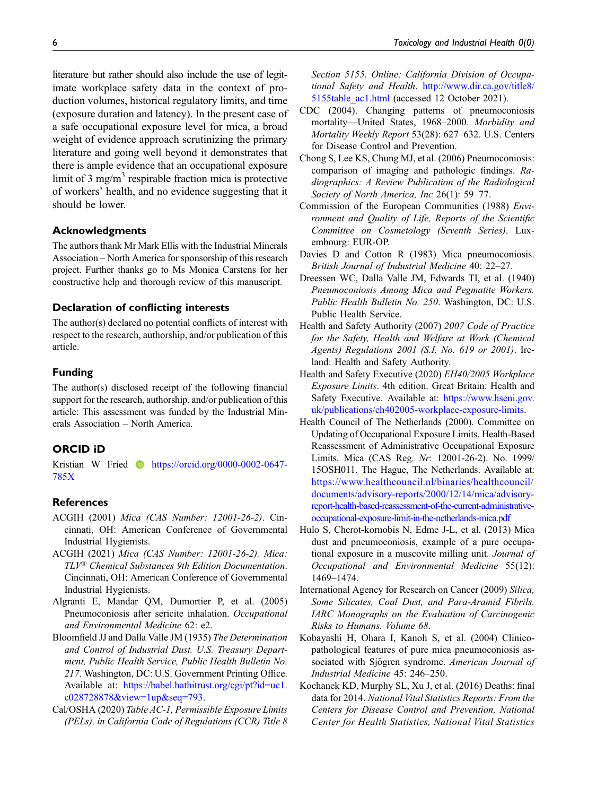literature but rather should also include the use of legitimate workplace safety data in the context of production volumes, historical regulatory limits, and time (exposure duration and latency). In the present case of a safe occupational exposure level for mica, a broad weight of evidence approach scrutinizing the primary literature and going well beyond it demonstrates that there is ample evidence that an occupational exposure limit of 3 mg/m<sup>3</sup> respirable fraction mica is protective of workers' health, and no evidence suggesting that it should be lower.

# Acknowledgments

The authors thank Mr Mark Ellis with the Industrial Minerals Association – North America for sponsorship of this research project. Further thanks go to Ms Monica Carstens for her constructive help and thorough review of this manuscript.

### Declaration of conflicting interests

The author(s) declared no potential conflicts of interest with respect to the research, authorship, and/or publication of this article.

## Funding

The author(s) disclosed receipt of the following financial support for the research, authorship, and/or publication of this article: This assessment was funded by the Industrial Minerals Association – North America.

## ORCID iD

Kristian W Fried **b** [https://orcid.org/0000-0002-0647-](https://orcid.org/0000-0002-0647-785X) [785X](https://orcid.org/0000-0002-0647-785X)

## **References**

- <span id="page-5-4"></span>ACGIH (2001) Mica (CAS Number: 12001-26-2). Cincinnati, OH: American Conference of Governmental Industrial Hygienists.
- <span id="page-5-3"></span>ACGIH (2021) Mica (CAS Number: 12001-26-2). Mica: TLV® Chemical Substances 9th Edition Documentation. Cincinnati, OH: American Conference of Governmental Industrial Hygienists.
- <span id="page-5-10"></span>Algranti E, Mandar QM, Dumortier P, et al. (2005) Pneumoconiosis after sericite inhalation. Occupational and Environmental Medicine 62: e2.
- <span id="page-5-15"></span>Bloomfield JJ and Dalla Valle JM (1935) The Determination and Control of Industrial Dust. U.S. Treasury Department, Public Health Service, Public Health Bulletin No. 217. Washington, DC: U.S. Government Printing Office. Available at: [https://babel.hathitrust.org/cgi/pt?id=uc1.](https://babel.hathitrust.org/cgi/pt?id=uc1.c028728878&view=1up&seq=793) [c028728878&view=1up&seq=793.](https://babel.hathitrust.org/cgi/pt?id=uc1.c028728878&view=1up&seq=793)
- <span id="page-5-5"></span>Cal/OSHA (2020) Table AC-1, Permissible Exposure Limits (PELs), in California Code of Regulations (CCR) Title 8

Section 5155. Online: California Division of Occupational Safety and Health. [http://www.dir.ca.gov/title8/](http://www.dir.ca.gov/title8/5155table_ac1.html) [5155table\\_ac1.html](http://www.dir.ca.gov/title8/5155table_ac1.html) (accessed 12 October 2021).

- <span id="page-5-7"></span>CDC (2004). Changing patterns of pneumoconiosis mortality—United States, 1968–2000. Morbidity and Mortality Weekly Report 53(28): 627–632. U.S. Centers for Disease Control and Prevention.
- <span id="page-5-8"></span>Chong S, Lee KS, Chung MJ, et al. (2006) Pneumoconiosis: comparison of imaging and pathologic findings. Radiographics: A Review Publication of the Radiological Society of North America, Inc 26(1): 59–77.
- <span id="page-5-16"></span>Commission of the European Communities (1988) Environment and Quality of Life, Reports of the Scientific Committee on Cosmetology (Seventh Series). Luxembourg: EUR-OP.
- <span id="page-5-11"></span>Davies D and Cotton R (1983) Mica pneumoconiosis. British Journal of Industrial Medicine 40: 22–27.
- <span id="page-5-14"></span>Dreessen WC, Dalla Valle JM, Edwards TI, et al. (1940) Pneumoconiosis Among Mica and Pegmatite Workers. Public Health Bulletin No. 250. Washington, DC: U.S. Public Health Service.
- <span id="page-5-1"></span>Health and Safety Authority (2007) 2007 Code of Practice for the Safety, Health and Welfare at Work (Chemical Agents) Regulations 2001 (S.I. No. 619 or 2001). Ireland: Health and Safety Authority.
- <span id="page-5-0"></span>Health and Safety Executive (2020) EH40/2005 Workplace Exposure Limits. 4th edition. Great Britain: Health and Safety Executive. Available at: [https://www.hseni.gov.](https://www.hseni.gov.uk/publications/eh402005-workplace-exposure-limits) [uk/publications/eh402005-workplace-exposure-limits.](https://www.hseni.gov.uk/publications/eh402005-workplace-exposure-limits)
- <span id="page-5-2"></span>Health Council of The Netherlands (2000). Committee on Updating of Occupational Exposure Limits. Health-Based Reassessment of Administrative Occupational Exposure Limits. Mica (CAS Reg. Nr: 12001-26-2). No. 1999/ 15OSH011. The Hague, The Netherlands. Available at: [https://www.healthcouncil.nl/binaries/healthcouncil/](https://www.healthcouncil.nl/binaries/healthcouncil/documents/advisory-reports/2000/12/14/mica/advisory-report-health-based-reassessment-of-the-current-administrative-occupational-exposure-limit-in-the-netherlands-mica.pdf) [documents/advisory-reports/2000/12/14/mica/advisory](https://www.healthcouncil.nl/binaries/healthcouncil/documents/advisory-reports/2000/12/14/mica/advisory-report-health-based-reassessment-of-the-current-administrative-occupational-exposure-limit-in-the-netherlands-mica.pdf)[report-health-based-reassessment-of-the-current-administrative](https://www.healthcouncil.nl/binaries/healthcouncil/documents/advisory-reports/2000/12/14/mica/advisory-report-health-based-reassessment-of-the-current-administrative-occupational-exposure-limit-in-the-netherlands-mica.pdf)[occupational-exposure-limit-in-the-netherlands-mica.pdf](https://www.healthcouncil.nl/binaries/healthcouncil/documents/advisory-reports/2000/12/14/mica/advisory-report-health-based-reassessment-of-the-current-administrative-occupational-exposure-limit-in-the-netherlands-mica.pdf)
- <span id="page-5-13"></span>Hulo S, Cherot-kornobis N, Edme J-L, et al. (2013) Mica dust and pneumoconiosis, example of a pure occupational exposure in a muscovite milling unit. Journal of Occupational and Environmental Medicine 55(12): 1469–1474.
- <span id="page-5-9"></span>International Agency for Research on Cancer (2009) Silica, Some Silicates, Coal Dust, and Para-Aramid Fibrils. IARC Monographs on the Evaluation of Carcinogenic Risks to Humans. Volume 68.
- <span id="page-5-12"></span>Kobayashi H, Ohara I, Kanoh S, et al. (2004) Clinicopathological features of pure mica pneumoconiosis associated with Sjögren syndrome. American Journal of Industrial Medicine 45: 246–250.
- <span id="page-5-6"></span>Kochanek KD, Murphy SL, Xu J, et al. (2016) Deaths: final data for 2014. National Vital Statistics Reports: From the Centers for Disease Control and Prevention, National Center for Health Statistics, National Vital Statistics